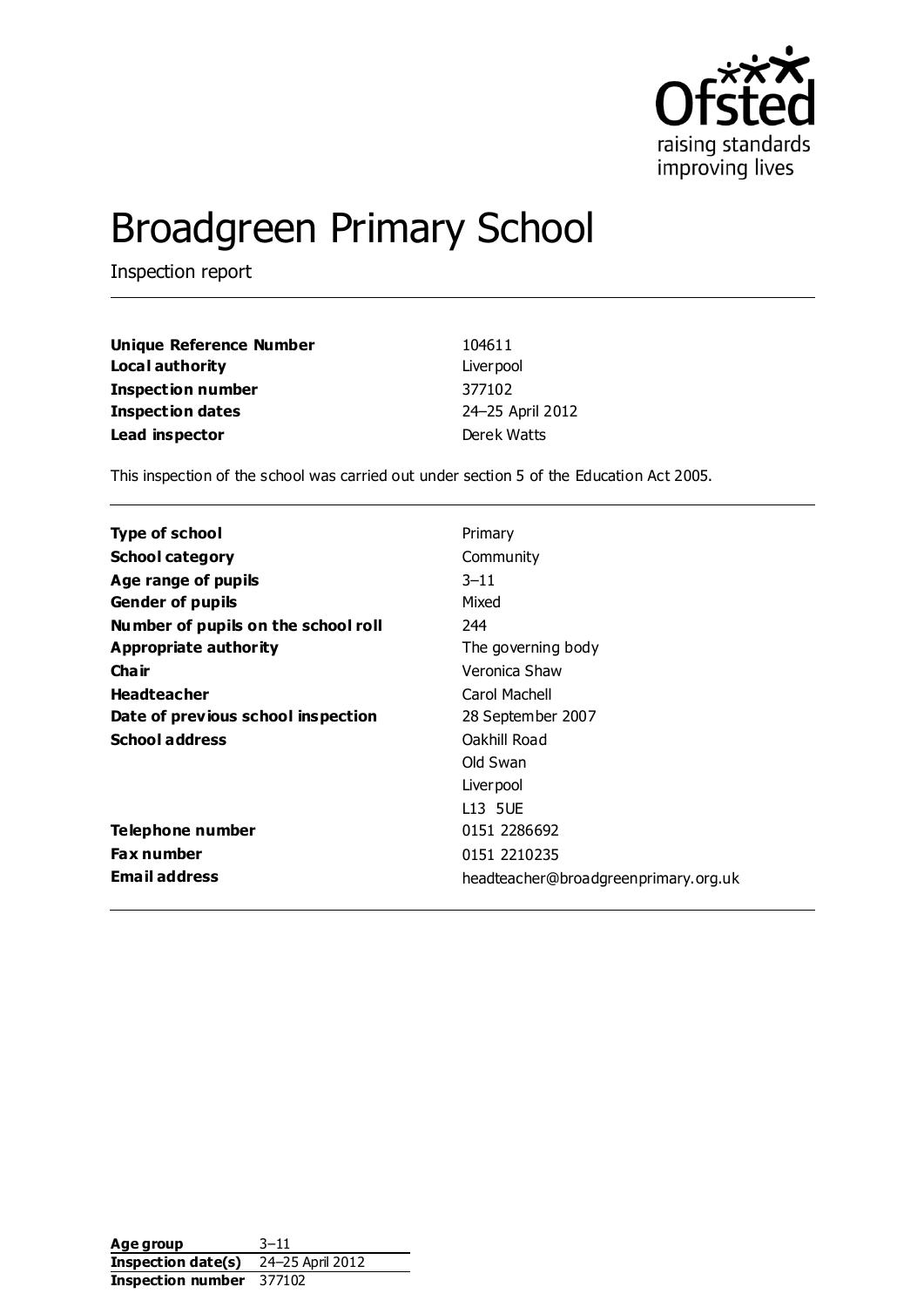

# Broadgreen Primary School

Inspection report

| <b>Unique Reference Number</b> | 104611           |
|--------------------------------|------------------|
| Local authority                | Liver pool       |
| <b>Inspection number</b>       | 377102           |
| <b>Inspection dates</b>        | 24-25 April 2012 |
| Lead inspector                 | Derek Watts      |

This inspection of the school was carried out under section 5 of the Education Act 2005.

| Type of school                      | Primary                              |
|-------------------------------------|--------------------------------------|
| <b>School category</b>              | Community                            |
| Age range of pupils                 | $3 - 11$                             |
| <b>Gender of pupils</b>             | Mixed                                |
| Number of pupils on the school roll | 244                                  |
| Appropriate authority               | The governing body                   |
| Cha ir                              | Veronica Shaw                        |
| <b>Headteacher</b>                  | Carol Machell                        |
| Date of previous school inspection  | 28 September 2007                    |
| <b>School address</b>               | Oakhill Road                         |
|                                     | Old Swan                             |
|                                     | Liver pool                           |
|                                     | L13 5UE                              |
| Telephone number                    | 0151 2286692                         |
| <b>Fax number</b>                   | 0151 2210235                         |
| <b>Email address</b>                | headteacher@broadgreenprimary.org.uk |

**Age group** 3–11 **Inspection date(s)** 24–25 April 2012 **Inspection number** 377102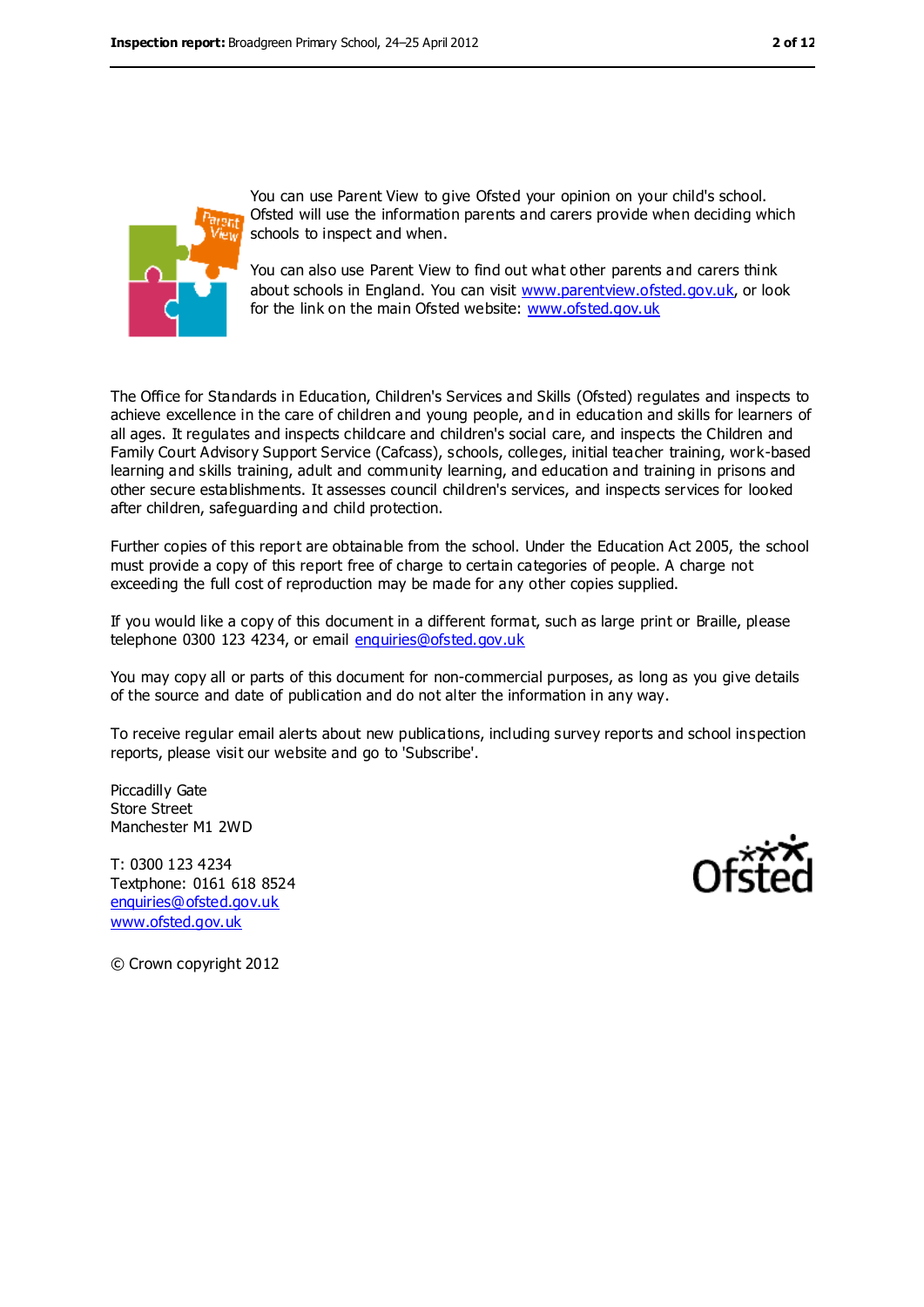

You can use Parent View to give Ofsted your opinion on your child's school. Ofsted will use the information parents and carers provide when deciding which schools to inspect and when.

You can also use Parent View to find out what other parents and carers think about schools in England. You can visit [www.parentview.ofsted.gov.uk,](file:///C:/Users/ggleaden/AppData/ggleaden/AppData/Local/Temp/notesFCBCEE/www.parentview.ofsted.gov.uk) or look for the link on the main Ofsted website: [www.ofsted.gov.uk](file:///C:/Users/ggleaden/AppData/ggleaden/AppData/Local/Temp/notesFCBCEE/www.ofsted.gov.uk)

The Office for Standards in Education, Children's Services and Skills (Ofsted) regulates and inspects to achieve excellence in the care of children and young people, and in education and skills for learners of all ages. It regulates and inspects childcare and children's social care, and inspects the Children and Family Court Advisory Support Service (Cafcass), schools, colleges, initial teacher training, work-based learning and skills training, adult and community learning, and education and training in prisons and other secure establishments. It assesses council children's services, and inspects services for looked after children, safeguarding and child protection.

Further copies of this report are obtainable from the school. Under the Education Act 2005, the school must provide a copy of this report free of charge to certain categories of people. A charge not exceeding the full cost of reproduction may be made for any other copies supplied.

If you would like a copy of this document in a different format, such as large print or Braille, please telephone 0300 123 4234, or email [enquiries@ofsted.gov.uk](mailto:enquiries@ofsted.gov.uk)

You may copy all or parts of this document for non-commercial purposes, as long as you give details of the source and date of publication and do not alter the information in any way.

To receive regular email alerts about new publications, including survey reports and school inspection reports, please visit our website and go to 'Subscribe'.

Piccadilly Gate Store Street Manchester M1 2WD

T: 0300 123 4234 Textphone: 0161 618 8524 [enquiries@ofsted.gov.uk](mailto:enquiries@ofsted.gov.uk) [www.ofsted.gov.uk](http://www.ofsted.gov.uk/)



© Crown copyright 2012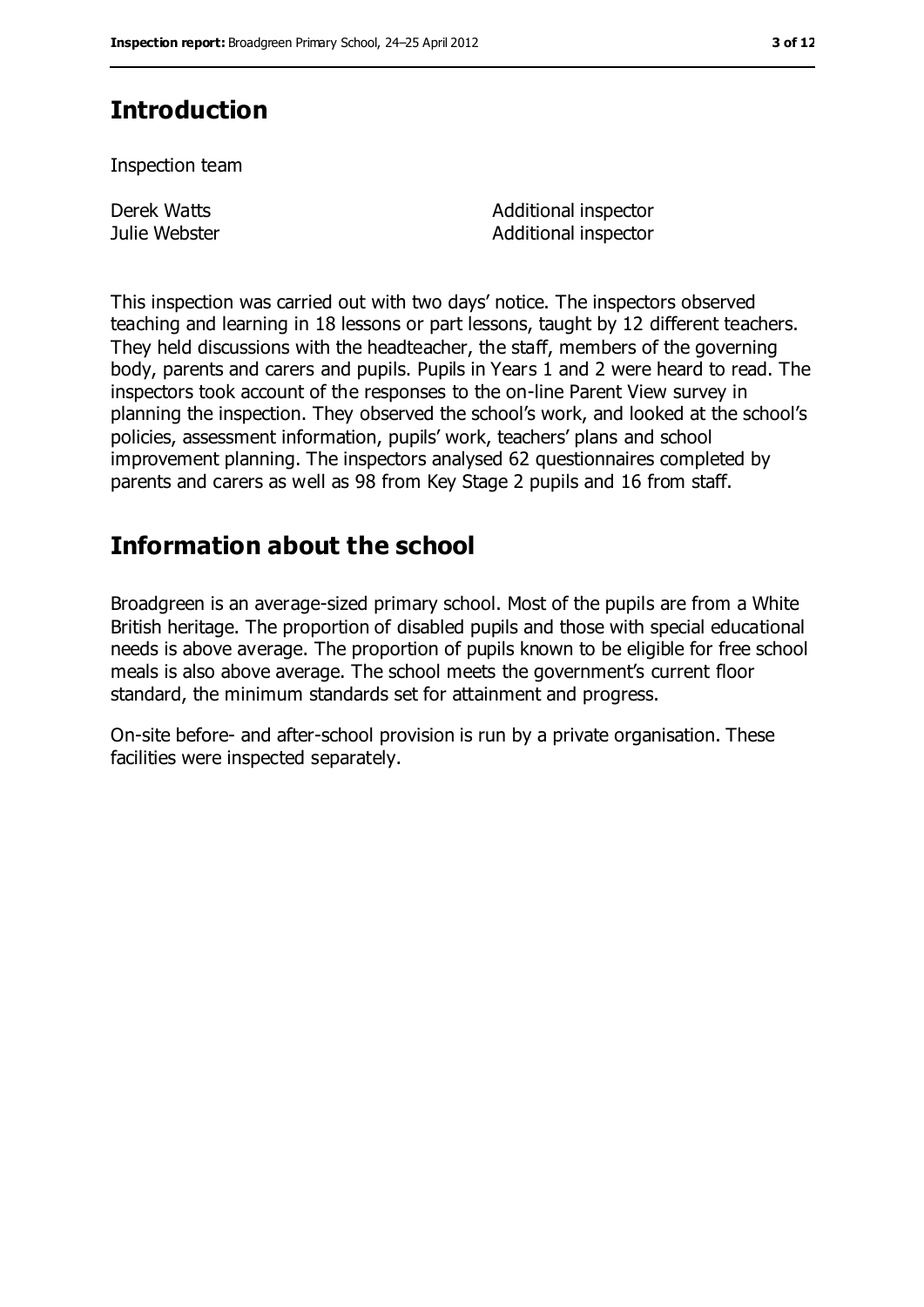# **Introduction**

Inspection team

Derek Watts Julie Webster Additional inspector Additional inspector

This inspection was carried out with two days' notice. The inspectors observed teaching and learning in 18 lessons or part lessons, taught by 12 different teachers. They held discussions with the headteacher, the staff, members of the governing body, parents and carers and pupils. Pupils in Years 1 and 2 were heard to read. The inspectors took account of the responses to the on-line Parent View survey in planning the inspection. They observed the school's work, and looked at the school's policies, assessment information, pupils' work, teachers' plans and school improvement planning. The inspectors analysed 62 questionnaires completed by parents and carers as well as 98 from Key Stage 2 pupils and 16 from staff.

# **Information about the school**

Broadgreen is an average-sized primary school. Most of the pupils are from a White British heritage. The proportion of disabled pupils and those with special educational needs is above average. The proportion of pupils known to be eligible for free school meals is also above average. The school meets the government's current floor standard, the minimum standards set for attainment and progress.

On-site before- and after-school provision is run by a private organisation. These facilities were inspected separately.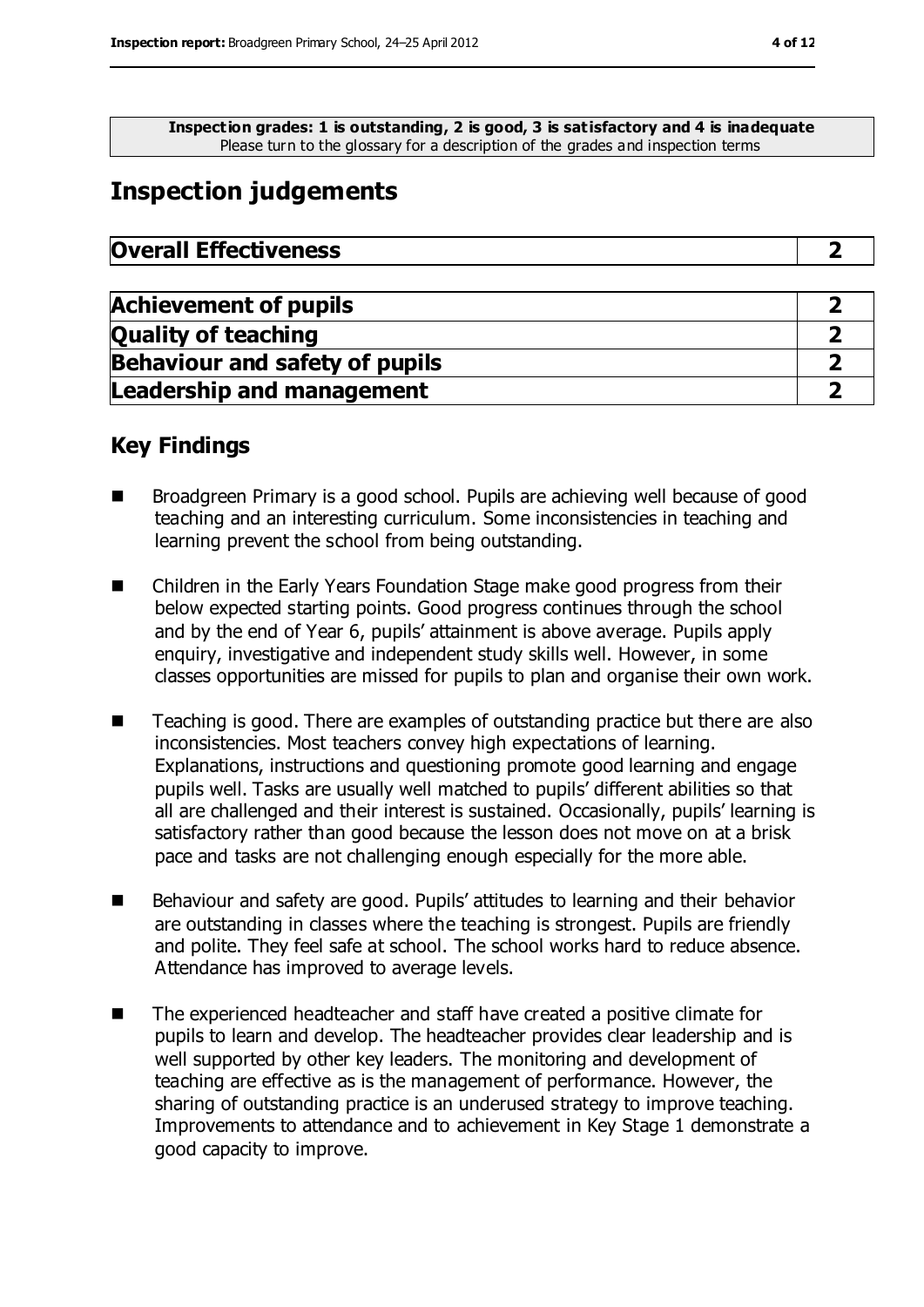**Inspection grades: 1 is outstanding, 2 is good, 3 is satisfactory and 4 is inadequate** Please turn to the glossary for a description of the grades and inspection terms

## **Inspection judgements**

| <b>Overall Effectiveness</b> |  |
|------------------------------|--|
|------------------------------|--|

| <b>Achievement of pupils</b>          |  |
|---------------------------------------|--|
| <b>Quality of teaching</b>            |  |
| <b>Behaviour and safety of pupils</b> |  |
| <b>Leadership and management</b>      |  |

### **Key Findings**

- Broadgreen Primary is a good school. Pupils are achieving well because of good teaching and an interesting curriculum. Some inconsistencies in teaching and learning prevent the school from being outstanding.
- Children in the Early Years Foundation Stage make good progress from their below expected starting points. Good progress continues through the school and by the end of Year 6, pupils' attainment is above average. Pupils apply enquiry, investigative and independent study skills well. However, in some classes opportunities are missed for pupils to plan and organise their own work.
- Teaching is good. There are examples of outstanding practice but there are also inconsistencies. Most teachers convey high expectations of learning. Explanations, instructions and questioning promote good learning and engage pupils well. Tasks are usually well matched to pupils' different abilities so that all are challenged and their interest is sustained. Occasionally, pupils' learning is satisfactory rather than good because the lesson does not move on at a brisk pace and tasks are not challenging enough especially for the more able.
- Behaviour and safety are good. Pupils' attitudes to learning and their behavior are outstanding in classes where the teaching is strongest. Pupils are friendly and polite. They feel safe at school. The school works hard to reduce absence. Attendance has improved to average levels.
- The experienced headteacher and staff have created a positive climate for pupils to learn and develop. The headteacher provides clear leadership and is well supported by other key leaders. The monitoring and development of teaching are effective as is the management of performance. However, the sharing of outstanding practice is an underused strategy to improve teaching. Improvements to attendance and to achievement in Key Stage 1 demonstrate a good capacity to improve.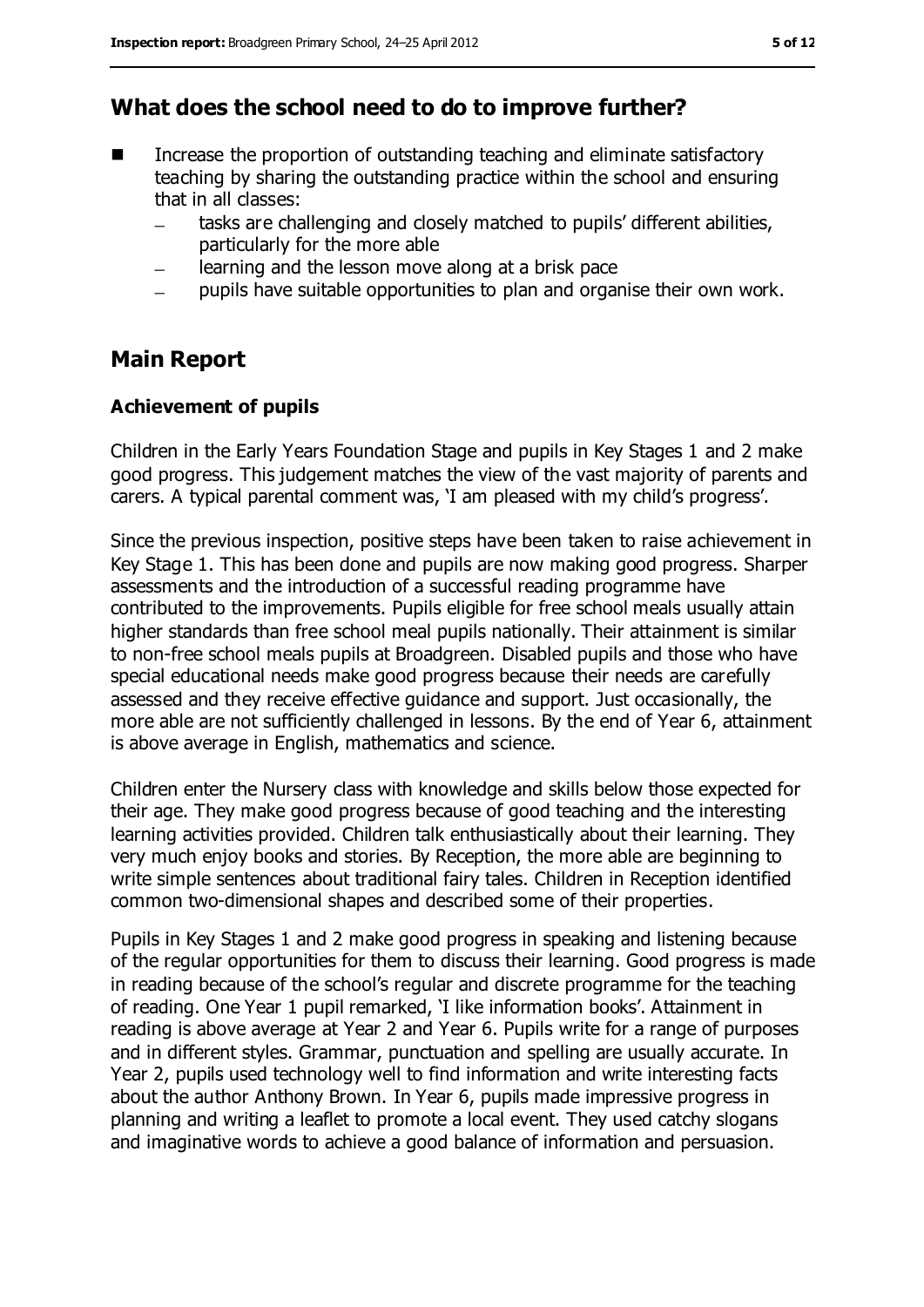### **What does the school need to do to improve further?**

- Increase the proportion of outstanding teaching and eliminate satisfactory teaching by sharing the outstanding practice within the school and ensuring that in all classes:
	- tasks are challenging and closely matched to pupils' different abilities, particularly for the more able
	- learning and the lesson move along at a brisk pace
	- pupils have suitable opportunities to plan and organise their own work.

### **Main Report**

#### **Achievement of pupils**

Children in the Early Years Foundation Stage and pupils in Key Stages 1 and 2 make good progress. This judgement matches the view of the vast majority of parents and carers. A typical parental comment was, 'I am pleased with my child's progress'.

Since the previous inspection, positive steps have been taken to raise achievement in Key Stage 1. This has been done and pupils are now making good progress. Sharper assessments and the introduction of a successful reading programme have contributed to the improvements. Pupils eligible for free school meals usually attain higher standards than free school meal pupils nationally. Their attainment is similar to non-free school meals pupils at Broadgreen. Disabled pupils and those who have special educational needs make good progress because their needs are carefully assessed and they receive effective guidance and support. Just occasionally, the more able are not sufficiently challenged in lessons. By the end of Year 6, attainment is above average in English, mathematics and science.

Children enter the Nursery class with knowledge and skills below those expected for their age. They make good progress because of good teaching and the interesting learning activities provided. Children talk enthusiastically about their learning. They very much enjoy books and stories. By Reception, the more able are beginning to write simple sentences about traditional fairy tales. Children in Reception identified common two-dimensional shapes and described some of their properties.

Pupils in Key Stages 1 and 2 make good progress in speaking and listening because of the regular opportunities for them to discuss their learning. Good progress is made in reading because of the school's regular and discrete programme for the teaching of reading. One Year 1 pupil remarked, 'I like information books'. Attainment in reading is above average at Year 2 and Year 6. Pupils write for a range of purposes and in different styles. Grammar, punctuation and spelling are usually accurate. In Year 2, pupils used technology well to find information and write interesting facts about the author Anthony Brown. In Year 6, pupils made impressive progress in planning and writing a leaflet to promote a local event. They used catchy slogans and imaginative words to achieve a good balance of information and persuasion.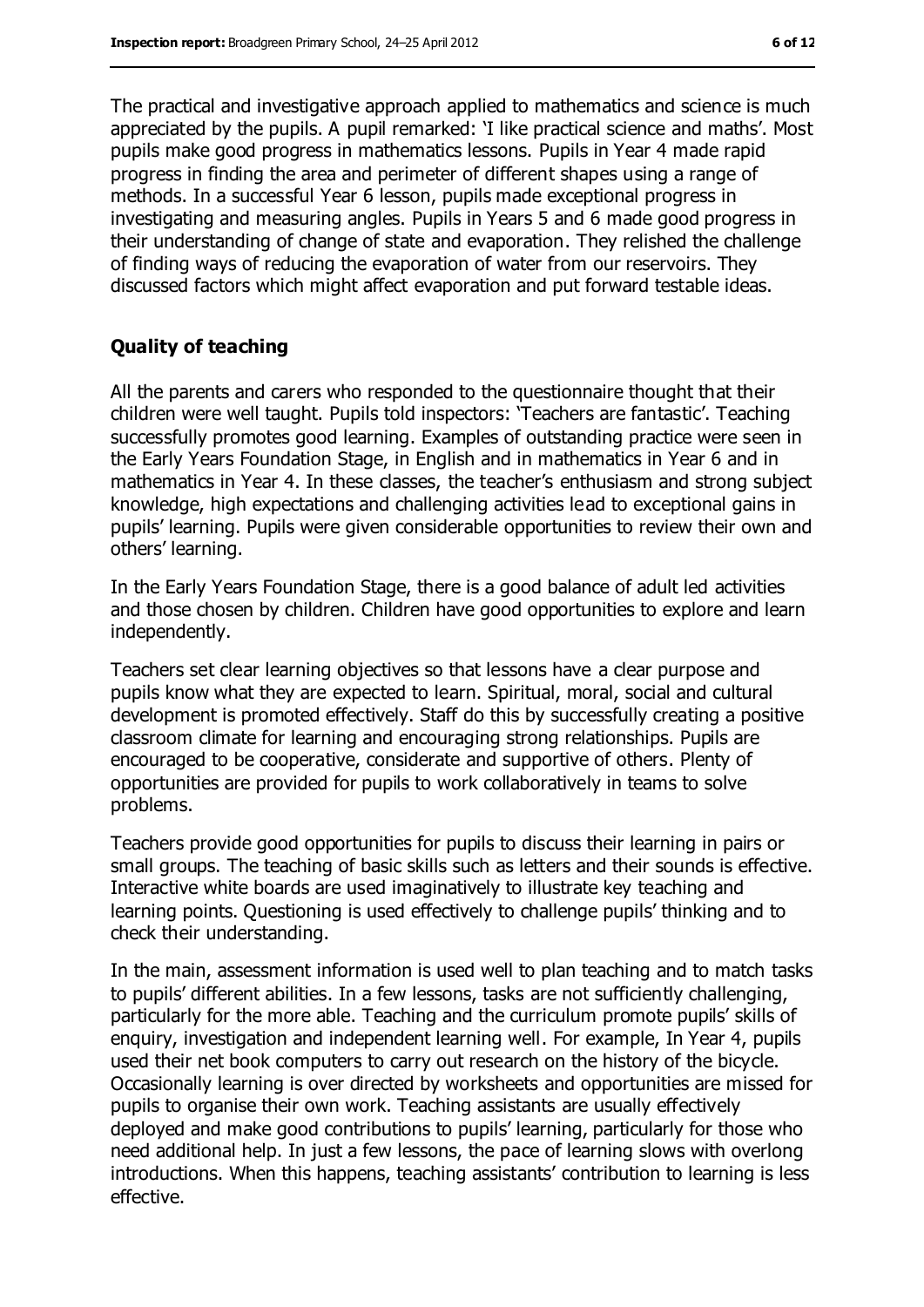The practical and investigative approach applied to mathematics and science is much appreciated by the pupils. A pupil remarked: 'I like practical science and maths'. Most pupils make good progress in mathematics lessons. Pupils in Year 4 made rapid progress in finding the area and perimeter of different shapes using a range of methods. In a successful Year 6 lesson, pupils made exceptional progress in investigating and measuring angles. Pupils in Years 5 and 6 made good progress in their understanding of change of state and evaporation. They relished the challenge of finding ways of reducing the evaporation of water from our reservoirs. They discussed factors which might affect evaporation and put forward testable ideas.

#### **Quality of teaching**

All the parents and carers who responded to the questionnaire thought that their children were well taught. Pupils told inspectors: 'Teachers are fantastic'. Teaching successfully promotes good learning. Examples of outstanding practice were seen in the Early Years Foundation Stage, in English and in mathematics in Year 6 and in mathematics in Year 4. In these classes, the teacher's enthusiasm and strong subject knowledge, high expectations and challenging activities lead to exceptional gains in pupils' learning. Pupils were given considerable opportunities to review their own and others' learning.

In the Early Years Foundation Stage, there is a good balance of adult led activities and those chosen by children. Children have good opportunities to explore and learn independently.

Teachers set clear learning objectives so that lessons have a clear purpose and pupils know what they are expected to learn. Spiritual, moral, social and cultural development is promoted effectively. Staff do this by successfully creating a positive classroom climate for learning and encouraging strong relationships. Pupils are encouraged to be cooperative, considerate and supportive of others. Plenty of opportunities are provided for pupils to work collaboratively in teams to solve problems.

Teachers provide good opportunities for pupils to discuss their learning in pairs or small groups. The teaching of basic skills such as letters and their sounds is effective. Interactive white boards are used imaginatively to illustrate key teaching and learning points. Questioning is used effectively to challenge pupils' thinking and to check their understanding.

In the main, assessment information is used well to plan teaching and to match tasks to pupils' different abilities. In a few lessons, tasks are not sufficiently challenging, particularly for the more able. Teaching and the curriculum promote pupils' skills of enquiry, investigation and independent learning well. For example, In Year 4, pupils used their net book computers to carry out research on the history of the bicycle. Occasionally learning is over directed by worksheets and opportunities are missed for pupils to organise their own work. Teaching assistants are usually effectively deployed and make good contributions to pupils' learning, particularly for those who need additional help. In just a few lessons, the pace of learning slows with overlong introductions. When this happens, teaching assistants' contribution to learning is less effective.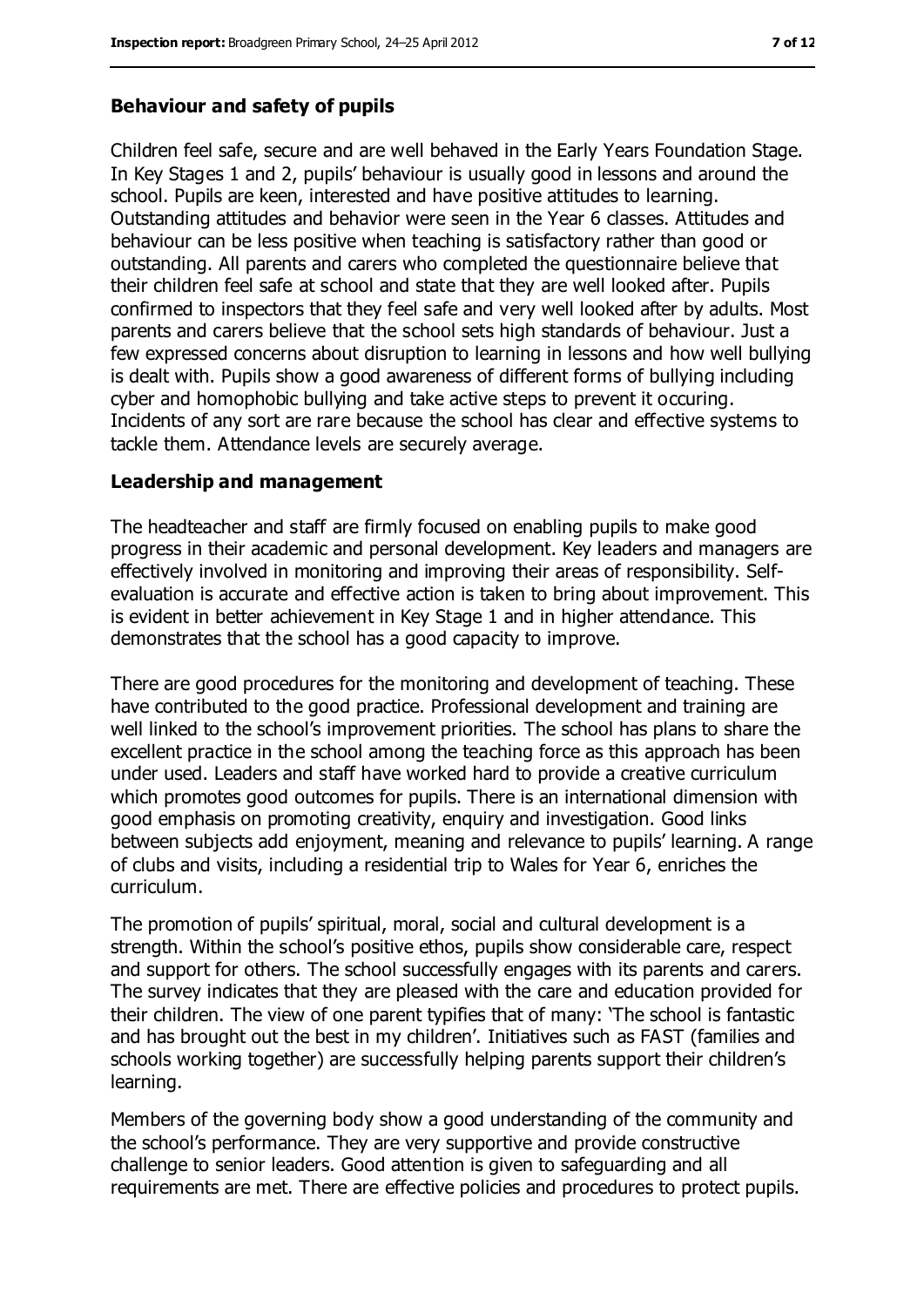#### **Behaviour and safety of pupils**

Children feel safe, secure and are well behaved in the Early Years Foundation Stage. In Key Stages 1 and 2, pupils' behaviour is usually good in lessons and around the school. Pupils are keen, interested and have positive attitudes to learning. Outstanding attitudes and behavior were seen in the Year 6 classes. Attitudes and behaviour can be less positive when teaching is satisfactory rather than good or outstanding. All parents and carers who completed the questionnaire believe that their children feel safe at school and state that they are well looked after. Pupils confirmed to inspectors that they feel safe and very well looked after by adults. Most parents and carers believe that the school sets high standards of behaviour. Just a few expressed concerns about disruption to learning in lessons and how well bullying is dealt with. Pupils show a good awareness of different forms of bullying including cyber and homophobic bullying and take active steps to prevent it occuring. Incidents of any sort are rare because the school has clear and effective systems to tackle them. Attendance levels are securely average.

#### **Leadership and management**

The headteacher and staff are firmly focused on enabling pupils to make good progress in their academic and personal development. Key leaders and managers are effectively involved in monitoring and improving their areas of responsibility. Selfevaluation is accurate and effective action is taken to bring about improvement. This is evident in better achievement in Key Stage 1 and in higher attendance. This demonstrates that the school has a good capacity to improve.

There are good procedures for the monitoring and development of teaching. These have contributed to the good practice. Professional development and training are well linked to the school's improvement priorities. The school has plans to share the excellent practice in the school among the teaching force as this approach has been under used. Leaders and staff have worked hard to provide a creative curriculum which promotes good outcomes for pupils. There is an international dimension with good emphasis on promoting creativity, enquiry and investigation. Good links between subjects add enjoyment, meaning and relevance to pupils' learning. A range of clubs and visits, including a residential trip to Wales for Year 6, enriches the curriculum.

The promotion of pupils' spiritual, moral, social and cultural development is a strength. Within the school's positive ethos, pupils show considerable care, respect and support for others. The school successfully engages with its parents and carers. The survey indicates that they are pleased with the care and education provided for their children. The view of one parent typifies that of many: 'The school is fantastic and has brought out the best in my children'. Initiatives such as FAST (families and schools working together) are successfully helping parents support their children's learning.

Members of the governing body show a good understanding of the community and the school's performance. They are very supportive and provide constructive challenge to senior leaders. Good attention is given to safeguarding and all requirements are met. There are effective policies and procedures to protect pupils.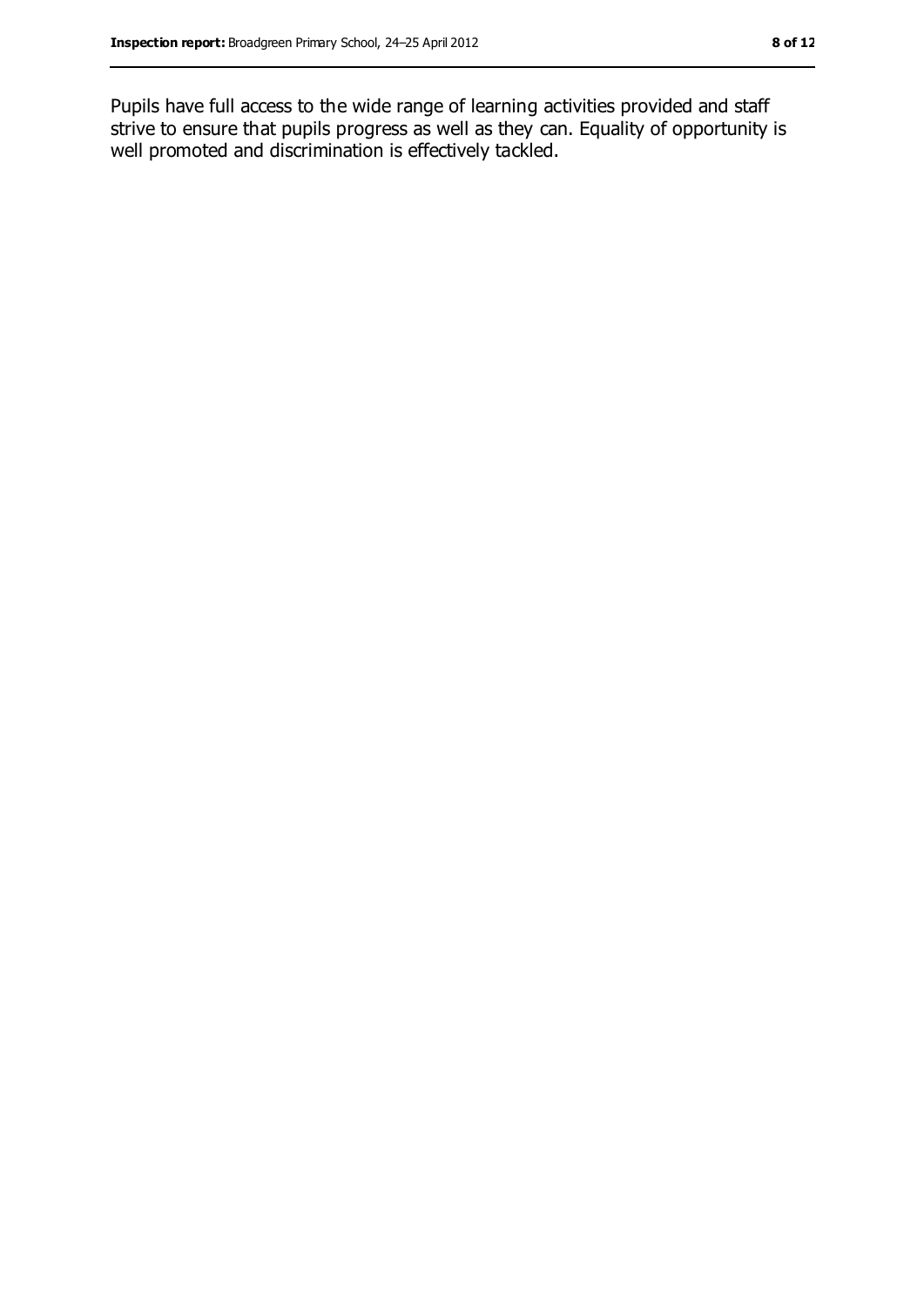Pupils have full access to the wide range of learning activities provided and staff strive to ensure that pupils progress as well as they can. Equality of opportunity is well promoted and discrimination is effectively tackled.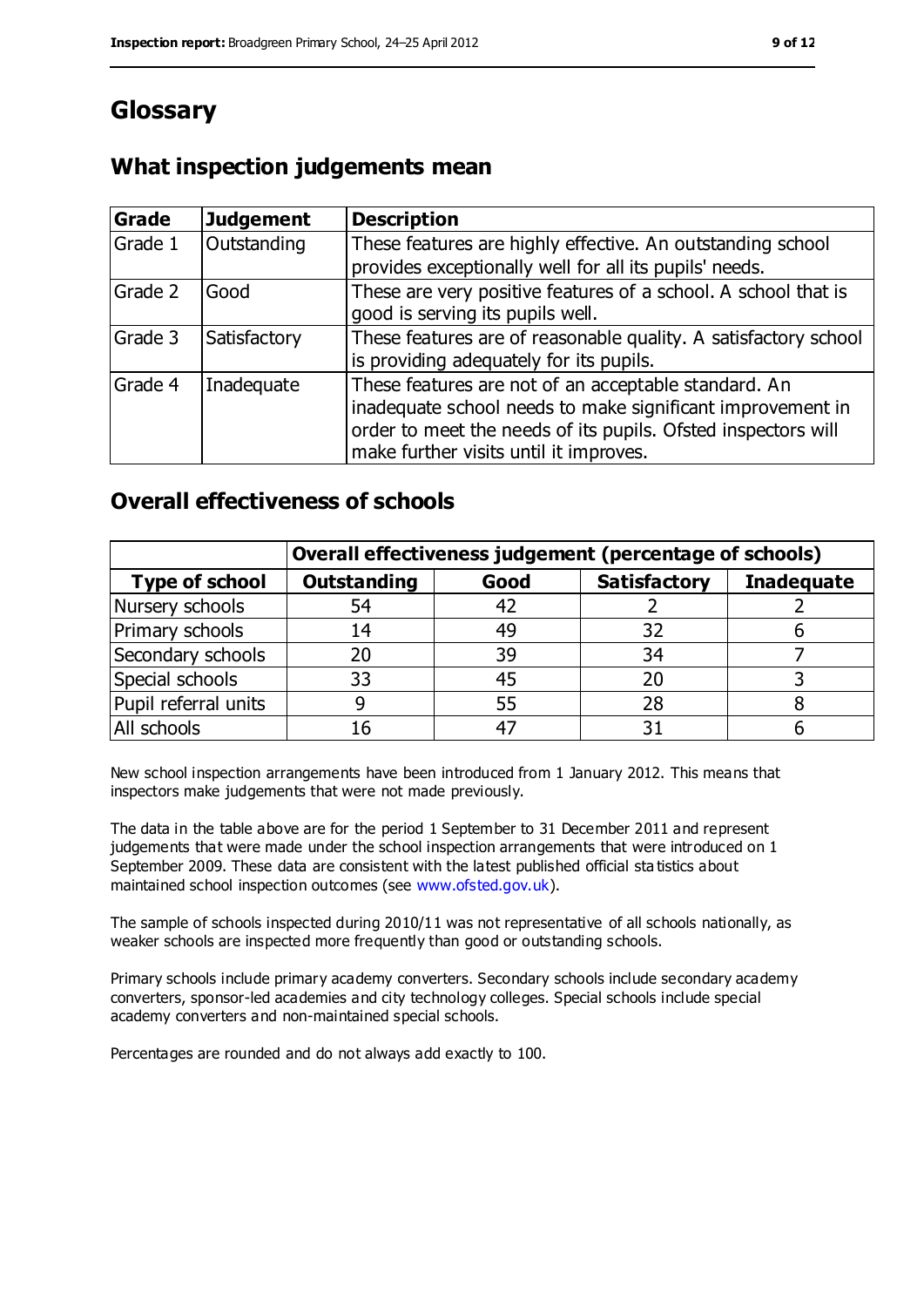# **Glossary**

### **What inspection judgements mean**

| Grade   | <b>Judgement</b> | <b>Description</b>                                                                                                                                                                                                            |
|---------|------------------|-------------------------------------------------------------------------------------------------------------------------------------------------------------------------------------------------------------------------------|
| Grade 1 | Outstanding      | These features are highly effective. An outstanding school<br>provides exceptionally well for all its pupils' needs.                                                                                                          |
| Grade 2 | Good             | These are very positive features of a school. A school that is<br>good is serving its pupils well.                                                                                                                            |
| Grade 3 | Satisfactory     | These features are of reasonable quality. A satisfactory school<br>is providing adequately for its pupils.                                                                                                                    |
| Grade 4 | Inadequate       | These features are not of an acceptable standard. An<br>inadequate school needs to make significant improvement in<br>order to meet the needs of its pupils. Ofsted inspectors will<br>make further visits until it improves. |

### **Overall effectiveness of schools**

|                       | Overall effectiveness judgement (percentage of schools) |      |                     |                   |
|-----------------------|---------------------------------------------------------|------|---------------------|-------------------|
| <b>Type of school</b> | <b>Outstanding</b>                                      | Good | <b>Satisfactory</b> | <b>Inadequate</b> |
| Nursery schools       | 54                                                      | 42   |                     |                   |
| Primary schools       | 14                                                      | 49   | 32                  |                   |
| Secondary schools     | 20                                                      | 39   | 34                  |                   |
| Special schools       | 33                                                      | 45   |                     |                   |
| Pupil referral units  | 9                                                       | 55   | 28                  |                   |
| All schools           | 16                                                      | -47  |                     |                   |

New school inspection arrangements have been introduced from 1 January 2012. This means that inspectors make judgements that were not made previously.

The data in the table above are for the period 1 September to 31 December 2011 and represent judgements that were made under the school inspection arrangements that were introduced on 1 September 2009. These data are consistent with the latest published official sta tistics about maintained school inspection outcomes (see [www.ofsted.gov.uk\)](file:///C:/Users/ggleaden/AppData/ggleaden/AppData/Local/Temp/notesFCBCEE/www.ofsted.gov.uk).

The sample of schools inspected during 2010/11 was not representative of all schools nationally, as weaker schools are inspected more frequently than good or outstanding schools.

Primary schools include primary academy converters. Secondary schools include secondary academy converters, sponsor-led academies and city technology colleges. Special schools include special academy converters and non-maintained special schools.

Percentages are rounded and do not always add exactly to 100.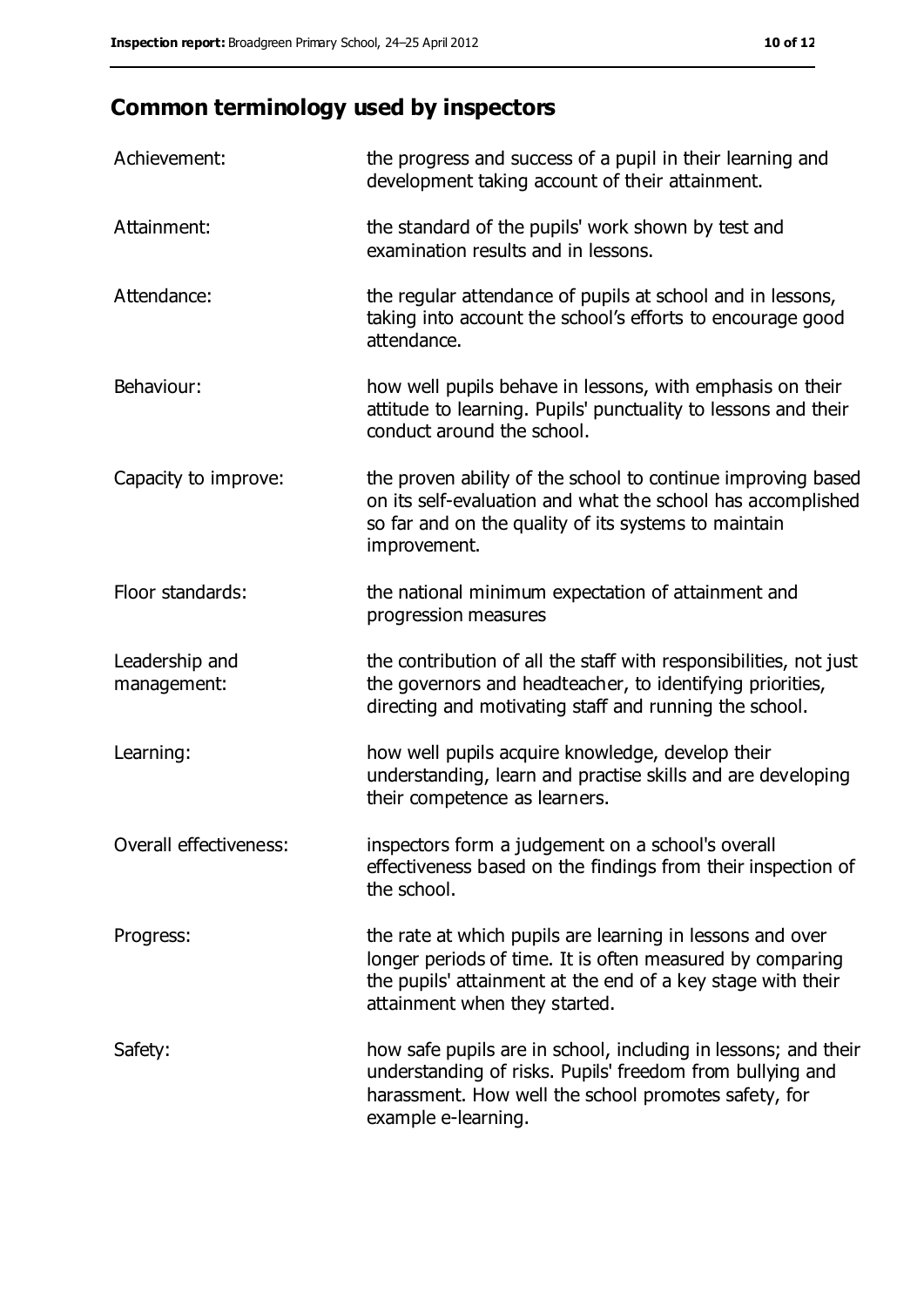# **Common terminology used by inspectors**

| Achievement:                  | the progress and success of a pupil in their learning and<br>development taking account of their attainment.                                                                                                           |
|-------------------------------|------------------------------------------------------------------------------------------------------------------------------------------------------------------------------------------------------------------------|
| Attainment:                   | the standard of the pupils' work shown by test and<br>examination results and in lessons.                                                                                                                              |
| Attendance:                   | the regular attendance of pupils at school and in lessons,<br>taking into account the school's efforts to encourage good<br>attendance.                                                                                |
| Behaviour:                    | how well pupils behave in lessons, with emphasis on their<br>attitude to learning. Pupils' punctuality to lessons and their<br>conduct around the school.                                                              |
| Capacity to improve:          | the proven ability of the school to continue improving based<br>on its self-evaluation and what the school has accomplished<br>so far and on the quality of its systems to maintain<br>improvement.                    |
| Floor standards:              | the national minimum expectation of attainment and<br>progression measures                                                                                                                                             |
| Leadership and<br>management: | the contribution of all the staff with responsibilities, not just<br>the governors and headteacher, to identifying priorities,<br>directing and motivating staff and running the school.                               |
| Learning:                     | how well pupils acquire knowledge, develop their<br>understanding, learn and practise skills and are developing<br>their competence as learners.                                                                       |
| Overall effectiveness:        | inspectors form a judgement on a school's overall<br>effectiveness based on the findings from their inspection of<br>the school.                                                                                       |
| Progress:                     | the rate at which pupils are learning in lessons and over<br>longer periods of time. It is often measured by comparing<br>the pupils' attainment at the end of a key stage with their<br>attainment when they started. |
| Safety:                       | how safe pupils are in school, including in lessons; and their<br>understanding of risks. Pupils' freedom from bullying and<br>harassment. How well the school promotes safety, for<br>example e-learning.             |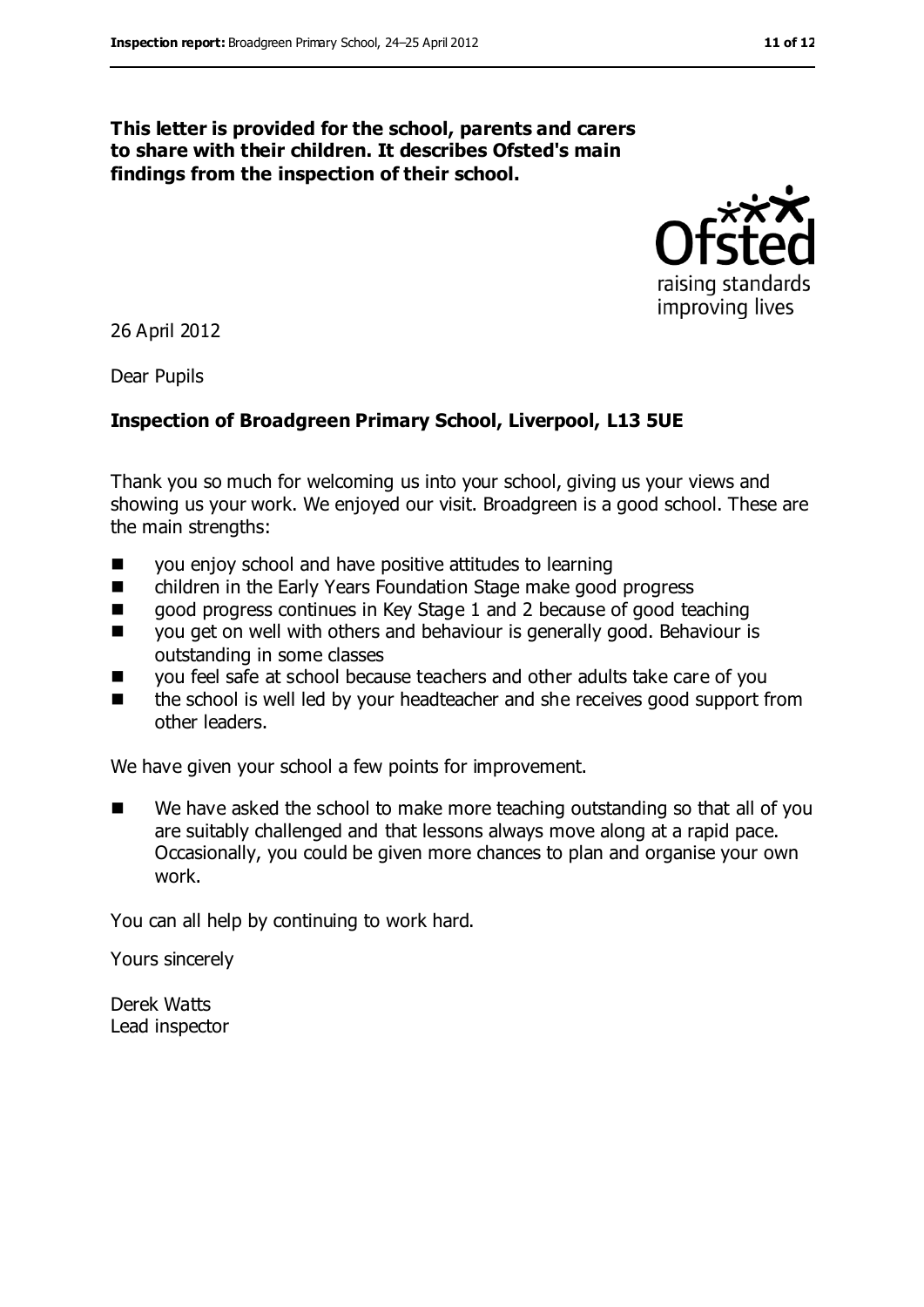#### **This letter is provided for the school, parents and carers to share with their children. It describes Ofsted's main findings from the inspection of their school.**



26 April 2012

Dear Pupils

#### **Inspection of Broadgreen Primary School, Liverpool, L13 5UE**

Thank you so much for welcoming us into your school, giving us your views and showing us your work. We enjoyed our visit. Broadgreen is a good school. These are the main strengths:

- you enjoy school and have positive attitudes to learning
- children in the Early Years Foundation Stage make good progress
- good progress continues in Key Stage 1 and 2 because of good teaching
- you get on well with others and behaviour is generally good. Behaviour is outstanding in some classes
- you feel safe at school because teachers and other adults take care of you
- the school is well led by your headteacher and she receives good support from other leaders.

We have given your school a few points for improvement.

■ We have asked the school to make more teaching outstanding so that all of you are suitably challenged and that lessons always move along at a rapid pace. Occasionally, you could be given more chances to plan and organise your own work.

You can all help by continuing to work hard.

Yours sincerely

Derek Watts Lead inspector